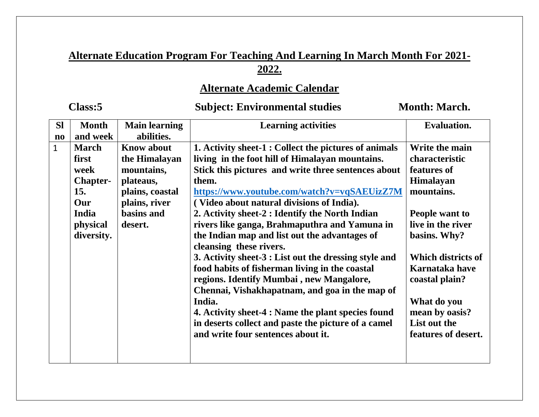# **Alternate Education Program For Teaching And Learning In March Month For 2021- 2022.**

# **Alternate Academic Calendar**

# Class:5 Subject: Environmental studies Month: March.

| <b>SI</b>              | <b>Month</b>    | <b>Main learning</b> | <b>Learning activities</b>                            | <b>Evaluation.</b>  |
|------------------------|-----------------|----------------------|-------------------------------------------------------|---------------------|
| $\mathbf{n}\mathbf{o}$ | and week        | abilities.           |                                                       |                     |
| $\mathbf{1}$           | <b>March</b>    | <b>Know about</b>    | 1. Activity sheet-1 : Collect the pictures of animals | Write the main      |
|                        | first           | the Himalayan        | living in the foot hill of Himalayan mountains.       | characteristic      |
|                        | week            | mountains,           | Stick this pictures and write three sentences about   | features of         |
|                        | <b>Chapter-</b> | plateaus,            | them.                                                 | <b>Himalayan</b>    |
|                        | 15.             | plains, coastal      | https://www.youtube.com/watch?v=vqSAEUizZ7M           | mountains.          |
|                        | Our             | plains, river        | (Video about natural divisions of India).             |                     |
|                        | India           | basins and           | 2. Activity sheet-2 : Identify the North Indian       | People want to      |
|                        | physical        | desert.              | rivers like ganga, Brahmaputhra and Yamuna in         | live in the river   |
|                        | diversity.      |                      | the Indian map and list out the advantages of         | basins. Why?        |
|                        |                 |                      | cleansing these rivers.                               |                     |
|                        |                 |                      | 3. Activity sheet-3 : List out the dressing style and | Which districts of  |
|                        |                 |                      | food habits of fisherman living in the coastal        | Karnataka have      |
|                        |                 |                      | regions. Identify Mumbai, new Mangalore,              | coastal plain?      |
|                        |                 |                      | Chennai, Vishakhapatnam, and goa in the map of        |                     |
|                        |                 |                      | India.                                                | What do you         |
|                        |                 |                      | 4. Activity sheet-4 : Name the plant species found    | mean by oasis?      |
|                        |                 |                      | in deserts collect and paste the picture of a camel   | List out the        |
|                        |                 |                      | and write four sentences about it.                    | features of desert. |
|                        |                 |                      |                                                       |                     |
|                        |                 |                      |                                                       |                     |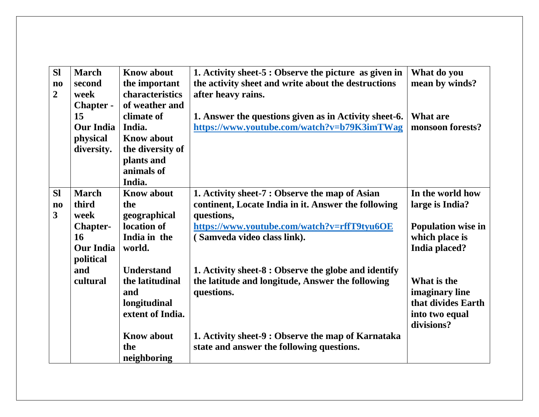| <b>Sl</b>              | <b>March</b>     | <b>Know about</b> | 1. Activity sheet-5 : Observe the picture as given in | What do you               |
|------------------------|------------------|-------------------|-------------------------------------------------------|---------------------------|
| $\mathbf{n}\mathbf{o}$ | second           | the important     | the activity sheet and write about the destructions   | mean by winds?            |
| $\overline{2}$         | week             | characteristics   | after heavy rains.                                    |                           |
|                        | <b>Chapter -</b> | of weather and    |                                                       |                           |
|                        | 15               | climate of        | 1. Answer the questions given as in Activity sheet-6. | What are                  |
|                        | <b>Our India</b> | India.            | https://www.youtube.com/watch?v=b79K3imTWag           | monsoon forests?          |
|                        | physical         | <b>Know about</b> |                                                       |                           |
|                        | diversity.       | the diversity of  |                                                       |                           |
|                        |                  | plants and        |                                                       |                           |
|                        |                  | animals of        |                                                       |                           |
|                        |                  | India.            |                                                       |                           |
| <b>Sl</b>              | <b>March</b>     | <b>Know about</b> | 1. Activity sheet-7 : Observe the map of Asian        | In the world how          |
| $\mathbf{n}\mathbf{o}$ | third            | the               | continent, Locate India in it. Answer the following   | large is India?           |
| $\mathbf{3}$           | week             | geographical      | questions,                                            |                           |
|                        | <b>Chapter-</b>  | location of       | https://www.youtube.com/watch?v=rffT9tyu6OE           | <b>Population wise in</b> |
|                        | 16               | India in the      | (Samveda video class link).                           | which place is            |
|                        | <b>Our India</b> | world.            |                                                       | India placed?             |
|                        | political        |                   |                                                       |                           |
|                        | and              | <b>Understand</b> | 1. Activity sheet-8 : Observe the globe and identify  |                           |
|                        | cultural         | the latitudinal   | the latitude and longitude, Answer the following      | What is the               |
|                        |                  | and               | questions.                                            | imaginary line            |
|                        |                  | longitudinal      |                                                       | that divides Earth        |
|                        |                  | extent of India.  |                                                       | into two equal            |
|                        |                  |                   |                                                       | divisions?                |
|                        |                  | <b>Know about</b> | 1. Activity sheet-9 : Observe the map of Karnataka    |                           |
|                        |                  | the               | state and answer the following questions.             |                           |
|                        |                  | neighboring       |                                                       |                           |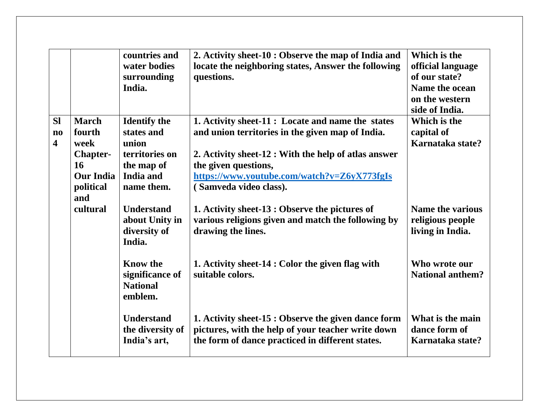|                         |                  | countries and       | 2. Activity sheet-10 : Observe the map of India and  | Which is the            |
|-------------------------|------------------|---------------------|------------------------------------------------------|-------------------------|
|                         |                  | water bodies        | locate the neighboring states, Answer the following  | official language       |
|                         |                  | surrounding         | questions.                                           | of our state?           |
|                         |                  | India.              |                                                      | Name the ocean          |
|                         |                  |                     |                                                      | on the western          |
|                         |                  |                     |                                                      | side of India.          |
| <b>Sl</b>               | <b>March</b>     | <b>Identify the</b> | 1. Activity sheet-11 : Locate and name the states    | Which is the            |
| $\mathbf{n}\mathbf{o}$  | fourth           | states and          | and union territories in the given map of India.     | capital of              |
| $\overline{\mathbf{4}}$ | week             | union               |                                                      | Karnataka state?        |
|                         | <b>Chapter-</b>  | territories on      | 2. Activity sheet-12 : With the help of atlas answer |                         |
|                         | 16               | the map of          | the given questions,                                 |                         |
|                         | <b>Our India</b> | India and           | https://www.youtube.com/watch?v=Z6yX773fgIs          |                         |
|                         | political        | name them.          | (Samveda video class).                               |                         |
|                         | and              |                     |                                                      |                         |
|                         | cultural         | <b>Understand</b>   | 1. Activity sheet-13 : Observe the pictures of       | <b>Name the various</b> |
|                         |                  | about Unity in      | various religions given and match the following by   | religious people        |
|                         |                  | diversity of        | drawing the lines.                                   | living in India.        |
|                         |                  | India.              |                                                      |                         |
|                         |                  |                     |                                                      |                         |
|                         |                  | <b>Know the</b>     | 1. Activity sheet-14 : Color the given flag with     | Who wrote our           |
|                         |                  | significance of     | suitable colors.                                     | <b>National anthem?</b> |
|                         |                  | <b>National</b>     |                                                      |                         |
|                         |                  | emblem.             |                                                      |                         |
|                         |                  |                     |                                                      |                         |
|                         |                  | <b>Understand</b>   | 1. Activity sheet-15 : Observe the given dance form  | What is the main        |
|                         |                  | the diversity of    | pictures, with the help of your teacher write down   | dance form of           |
|                         |                  | India's art,        | the form of dance practiced in different states.     | Karnataka state?        |
|                         |                  |                     |                                                      |                         |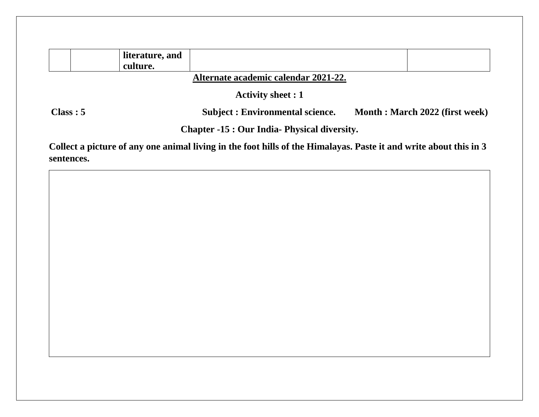|          | literature, and<br>culture. |                                                                                                                  |                                |
|----------|-----------------------------|------------------------------------------------------------------------------------------------------------------|--------------------------------|
|          |                             | Alternate academic calendar 2021-22.                                                                             |                                |
|          |                             | <b>Activity sheet : 1</b>                                                                                        |                                |
| Class: 5 |                             | <b>Subject: Environmental science.</b>                                                                           | Month: March 2022 (first week) |
|          |                             | <b>Chapter -15 : Our India- Physical diversity.</b>                                                              |                                |
|          |                             | Collect a picture of any one animal living in the foot hills of the Himalayas Paste it and write about this in 3 |                                |

**Collect a picture of any one animal living in the foot hills of the Himalayas. Paste it and write about this in 3 sentences.**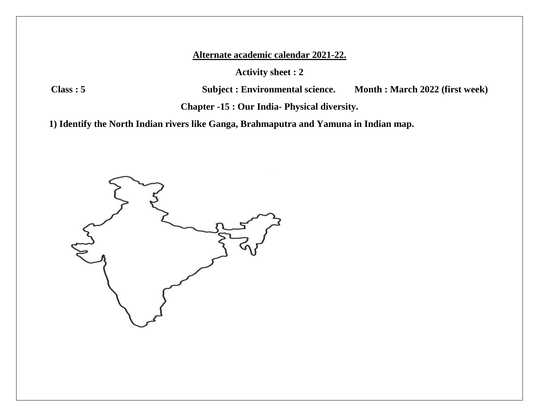**Activity sheet : 2**

**Class : 5 Subject : Environmental science. Month : March 2022 (first week)**

**Chapter -15 : Our India- Physical diversity.**

**1) Identify the North Indian rivers like Ganga, Brahmaputra and Yamuna in Indian map.**

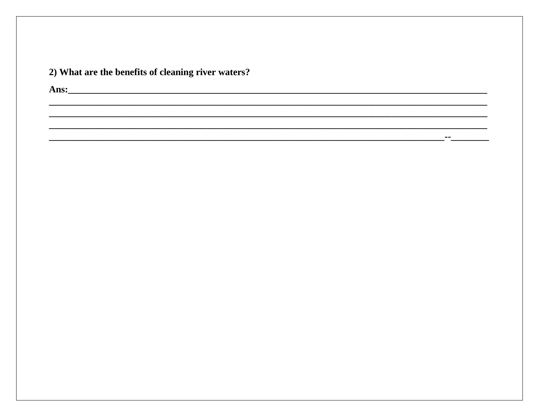| 2) What are the benefits of cleaning river waters? |
|----------------------------------------------------|
|----------------------------------------------------|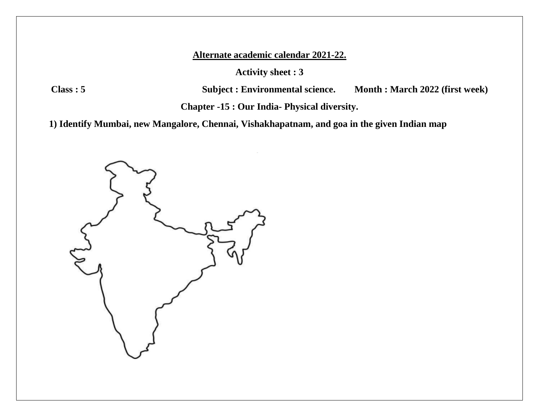**Activity sheet : 3**

**Class : 5 Subject : Environmental science. Month : March 2022 (first week)**

**Chapter -15 : Our India- Physical diversity.**

**1) Identify Mumbai, new Mangalore, Chennai, Vishakhapatnam, and goa in the given Indian map**

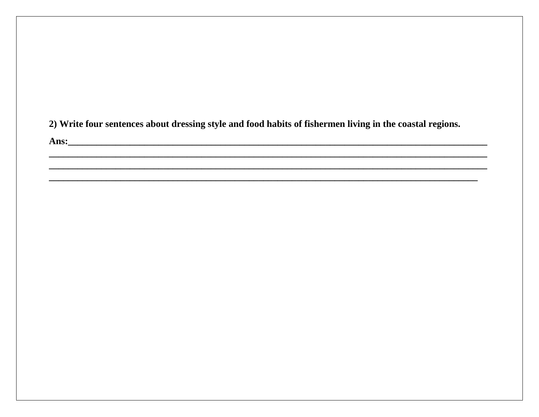2) Write four sentences about dressing style and food habits of fishermen living in the coastal regions.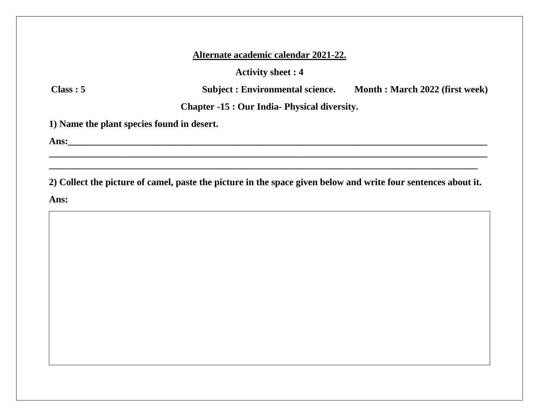**Activity sheet : 4**

**Class : 5 Subject : Environmental science. Month : March 2022 (first week)**

**Chapter -15 : Our India- Physical diversity.**

**1) Name the plant species found in desert.**

**Ans:\_\_\_\_\_\_\_\_\_\_\_\_\_\_\_\_\_\_\_\_\_\_\_\_\_\_\_\_\_\_\_\_\_\_\_\_\_\_\_\_\_\_\_\_\_\_\_\_\_\_\_\_\_\_\_\_\_\_\_\_\_\_\_\_\_\_\_\_\_\_\_\_\_\_\_\_\_\_\_\_\_\_\_\_\_\_\_\_**

**2) Collect the picture of camel, paste the picture in the space given below and write four sentences about it. Ans:**

**\_\_\_\_\_\_\_\_\_\_\_\_\_\_\_\_\_\_\_\_\_\_\_\_\_\_\_\_\_\_\_\_\_\_\_\_\_\_\_\_\_\_\_\_\_\_\_\_\_\_\_\_\_\_\_\_\_\_\_\_\_\_\_\_\_\_\_\_\_\_\_\_\_\_\_\_\_\_\_\_\_\_\_\_\_\_\_\_\_\_**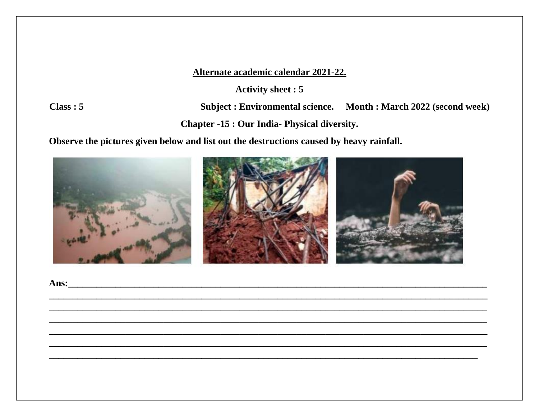**Activity sheet: 5** 

 $Class: 5$ 

Subject : Environmental science. Month : March 2022 (second week)

**Chapter -15: Our India- Physical diversity.** 

Observe the pictures given below and list out the destructions caused by heavy rainfall.

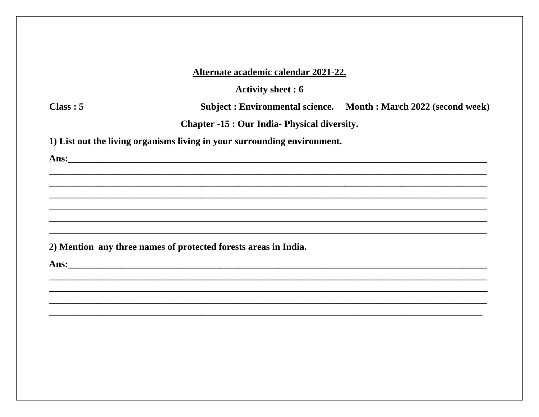**Activity sheet: 6** 

 $Class: 5$ 

Subject : Environmental science. Month : March 2022 (second week)

**Chapter -15: Our India- Physical diversity.** 

1) List out the living organisms living in your surrounding environment.

Ans: <u>2008 - 2008 - 2008 - 2008 - 2008 - 2008 - 2008 - 2008 - 2008 - 2008 - 2008 - 2008 - 2008 - 2008 - 2008 - 2008 - 2008 - 2008 - 2008 - 2008 - 2008 - 2008 - 2008 - 2008 - 2008 - 2008 - 2008 - 2008 - 2008 - 2008 - 2008 -</u>

2) Mention any three names of protected forests areas in India.

Ans: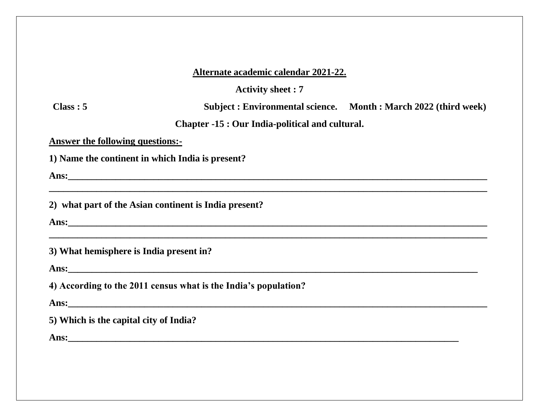**Activity sheet : 7**

**Class : 5 Subject : Environmental science. Month : March 2022 (third week)**

**Chapter -15 : Our India-political and cultural.**

**\_\_\_\_\_\_\_\_\_\_\_\_\_\_\_\_\_\_\_\_\_\_\_\_\_\_\_\_\_\_\_\_\_\_\_\_\_\_\_\_\_\_\_\_\_\_\_\_\_\_\_\_\_\_\_\_\_\_\_\_\_\_\_\_\_\_\_\_\_\_\_\_\_\_\_\_\_\_\_\_\_\_\_\_\_\_\_\_\_\_\_\_**

**\_\_\_\_\_\_\_\_\_\_\_\_\_\_\_\_\_\_\_\_\_\_\_\_\_\_\_\_\_\_\_\_\_\_\_\_\_\_\_\_\_\_\_\_\_\_\_\_\_\_\_\_\_\_\_\_\_\_\_\_\_\_\_\_\_\_\_\_\_\_\_\_\_\_\_\_\_\_\_\_\_\_\_\_\_\_\_\_\_\_\_\_**

**Answer the following questions:-**

**1) Name the continent in which India is present?**

**Ans:\_\_\_\_\_\_\_\_\_\_\_\_\_\_\_\_\_\_\_\_\_\_\_\_\_\_\_\_\_\_\_\_\_\_\_\_\_\_\_\_\_\_\_\_\_\_\_\_\_\_\_\_\_\_\_\_\_\_\_\_\_\_\_\_\_\_\_\_\_\_\_\_\_\_\_\_\_\_\_\_\_\_\_\_\_\_\_\_**

**2) what part of the Asian continent is India present?**

**Ans:\_\_\_\_\_\_\_\_\_\_\_\_\_\_\_\_\_\_\_\_\_\_\_\_\_\_\_\_\_\_\_\_\_\_\_\_\_\_\_\_\_\_\_\_\_\_\_\_\_\_\_\_\_\_\_\_\_\_\_\_\_\_\_\_\_\_\_\_\_\_\_\_\_\_\_\_\_\_\_\_\_\_\_\_\_\_\_\_**

**3) What hemisphere is India present in?**

Ans:

**4) According to the 2011 census what is the India's population?**

**Ans:** *Ans***:**  *Ans***: <b>***Ans <i>Ans <i>Ans <i>Ans <i>Ans <i>Ans <i>Ans <i>Ans <i>Ans <i>Ans <i>Ans <i>Ans <i>Ans <i>Ans <i>Ans <i>Ans <i>Ans <i>Ans <i>Ans <i>Ans <i>Ans* 

**5) Which is the capital city of India?**

**Ans:** <u>and a set of the set of the set of the set of the set of the set of the set of the set of the set of the set of the set of the set of the set of the set of the set of the set of the set of the set of the set of the</u>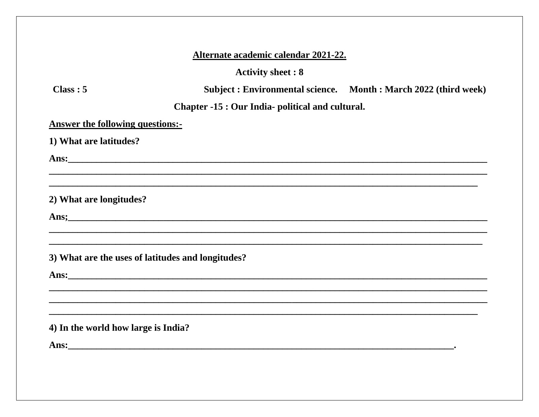## **Activity sheet: 8**

 $Class: 5$ 

Subject : Environmental science. Month : March 2022 (third week)

# Chapter -15 : Our India- political and cultural.

**Answer the following questions:-**

1) What are latitudes?

2) What are longitudes?

Ans: the contract of the contract of the contract of the contract of the contract of the contract of the contract of the contract of the contract of the contract of the contract of the contract of the contract of the contr

3) What are the uses of latitudes and longitudes?

Ans: <u>Ansection Construction of the set of the set of the set of the set of the set of the set of the set of the set of the set of the set of the set of the set of the set of the set of the set of the set of the set of the</u>

## 4) In the world how large is India?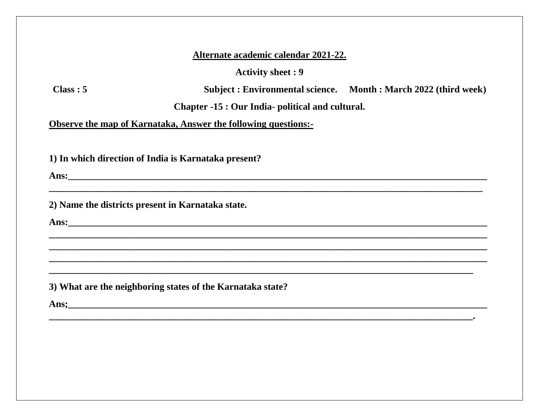**Activity sheet: 9** 

 $Class: 5$ 

Subject : Environmental science. Month : March 2022 (third week)

Chapter -15 : Our India- political and cultural.

**Observe the map of Karnataka, Answer the following questions:-**

1) In which direction of India is Karnataka present?

Ans: the contract of the contract of the contract of the contract of the contract of the contract of the contract of the contract of the contract of the contract of the contract of the contract of the contract of the contr

2) Name the districts present in Karnataka state.

**Ans: Example 2018 Example 2018 EXAMPLE 2018 EXAMPLE 2018 EXAMPLE 2018 EXAMPLE 2018** 

3) What are the neighboring states of the Karnataka state?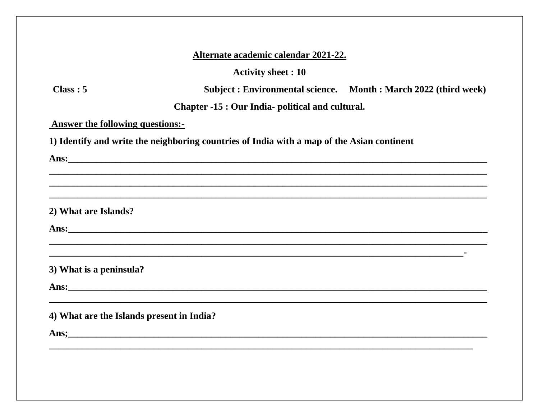**Activity sheet: 10** 

 $Class: 5$ 

Subject: Environmental science. Month: March 2022 (third week)

Chapter -15 : Our India- political and cultural.

**Answer the following questions:-**

1) Identify and write the neighboring countries of India with a map of the Asian continent

2) What are Islands?

3) What is a peninsula?

Ans: the contract of the contract of the contract of the contract of the contract of the contract of the contract of the contract of the contract of the contract of the contract of the contract of the contract of the contr

4) What are the Islands present in India?

Ans; https://www.com/communications/communications/communications/communications/communications/communications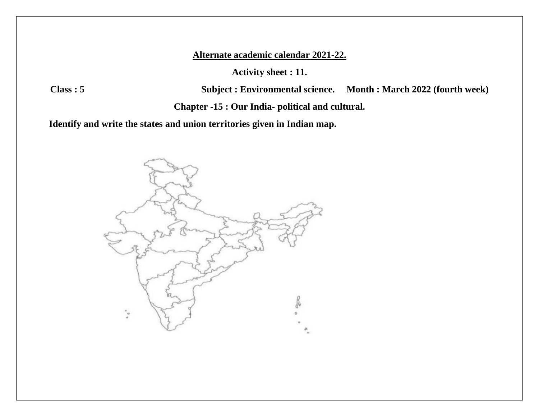**Activity sheet : 11.**

**Class : 5 Subject : Environmental science. Month : March 2022 (fourth week)**

**Chapter -15 : Our India- political and cultural.**

**Identify and write the states and union territories given in Indian map.**

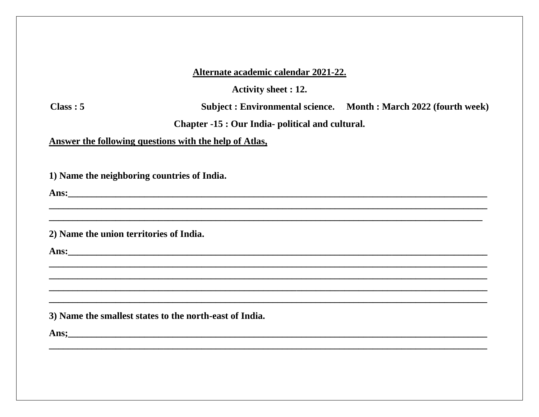**Activity sheet : 12.** 

 $Class: 5$ 

Subject: Environmental science. Month: March 2022 (fourth week)

Chapter -15 : Our India- political and cultural.

Answer the following questions with the help of Atlas,

1) Name the neighboring countries of India.

Ans: the contract of the contract of the contract of the contract of the contract of the contract of the contract of the contract of the contract of the contract of the contract of the contract of the contract of the contr

2) Name the union territories of India.

Ans: <u>Ansel</u>

3) Name the smallest states to the north-east of India.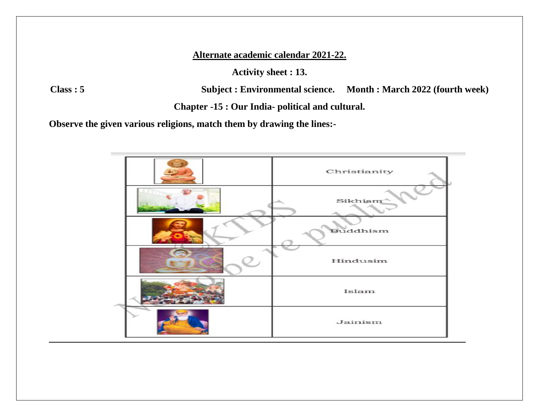**Activity sheet : 13.**

**Class : 5 Subject : Environmental science. Month : March 2022 (fourth week)**

**Chapter -15 : Our India- political and cultural.**

**Observe the given various religions, match them by drawing the lines:-**

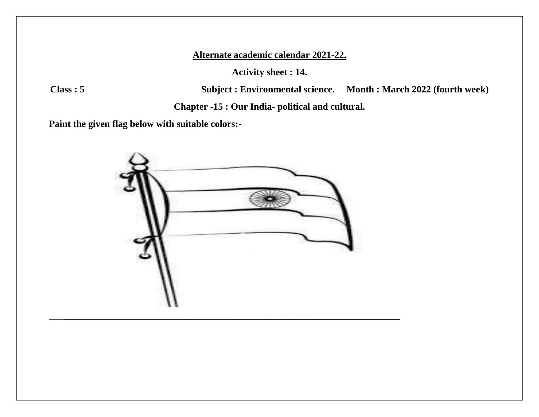**Activity sheet : 14.**

**Class : 5 Subject : Environmental science. Month : March 2022 (fourth week)**

**Chapter -15 : Our India- political and cultural.**

**Paint the given flag below with suitable colors:-**

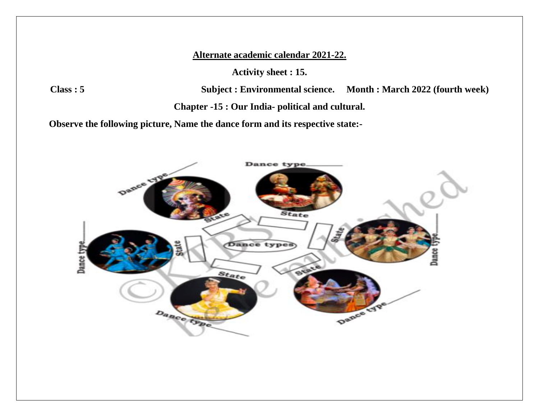**Activity sheet : 15.**

**Class : 5 Subject : Environmental science. Month : March 2022 (fourth week)**

**Chapter -15 : Our India- political and cultural.**

**Observe the following picture, Name the dance form and its respective state:-**